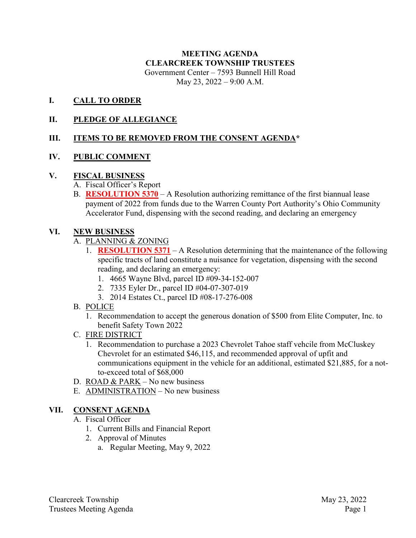#### **MEETING AGENDA CLEARCREEK TOWNSHIP TRUSTEES** Government Center – 7593 Bunnell Hill Road May 23, 2022 – 9:00 A.M.

#### **I. CALL TO ORDER**

### **II. PLEDGE OF ALLEGIANCE**

## **III. ITEMS TO BE REMOVED FROM THE CONSENT AGENDA\***

## **IV. PUBLIC COMMENT**

#### **V. FISCAL BUSINESS**

- A. Fiscal Officer's Report
- B. **RESOLUTION 5370** A Resolution authorizing remittance of the first biannual lease payment of 2022 from funds due to the Warren County Port Authority's Ohio Community Accelerator Fund, dispensing with the second reading, and declaring an emergency

#### **VI. NEW BUSINESS**

- A. PLANNING & ZONING
	- 1. **RESOLUTION 5371** A Resolution determining that the maintenance of the following specific tracts of land constitute a nuisance for vegetation, dispensing with the second reading, and declaring an emergency:
		- 1. 4665 Wayne Blvd, parcel ID #09-34-152-007
		- 2. 7335 Eyler Dr., parcel ID #04-07-307-019
		- 3. 2014 Estates Ct., parcel ID #08-17-276-008
- B. POLICE
	- 1. Recommendation to accept the generous donation of \$500 from Elite Computer, Inc. to benefit Safety Town 2022
- C. FIRE DISTRICT
	- 1. Recommendation to purchase a 2023 Chevrolet Tahoe staff vehcile from McCluskey Chevrolet for an estimated \$46,115, and recommended approval of upfit and communications equipment in the vehicle for an additional, estimated \$21,885, for a notto-exceed total of \$68,000
- D. ROAD & PARK No new business
- E. ADMINISTRATION No new business

#### **VII. CONSENT AGENDA**

- A. Fiscal Officer
	- 1. Current Bills and Financial Report
	- 2. Approval of Minutes
		- a. Regular Meeting, May 9, 2022